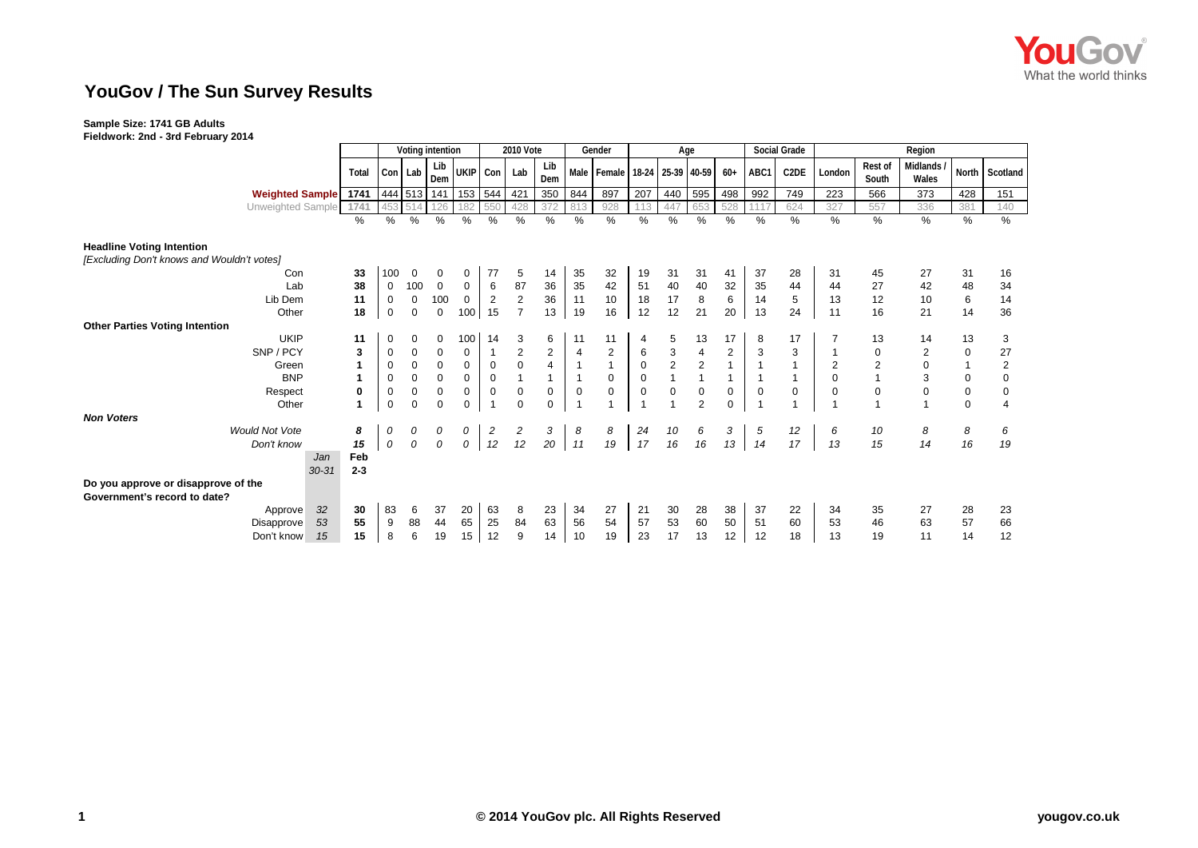

## **YouGov / The Sun Survey Results**

## **Sample Size: 1741 GB Adults**

**Fieldwork: 2nd - 3rd February 2014**

|                                                                     |                                    | Voting intention |             |                  |                  | <b>2010 Vote</b> |                         |                | Gender         |                         | Age               |                           |                |                |             | Social Grade      | Region      |                  |                          |              |                |
|---------------------------------------------------------------------|------------------------------------|------------------|-------------|------------------|------------------|------------------|-------------------------|----------------|----------------|-------------------------|-------------------|---------------------------|----------------|----------------|-------------|-------------------|-------------|------------------|--------------------------|--------------|----------------|
|                                                                     | Total                              | Con Lab          |             | Lib<br>Dem       | UKIP Con         |                  | Lab                     | Lib<br>Dem     |                | Male Female             | 18-24 25-39 40-59 |                           |                | $60+$          | ABC1        | C <sub>2</sub> DE | London      | Rest of<br>South | <b>Midlands</b><br>Wales | <b>North</b> | Scotland       |
| <b>Weighted Sample</b>                                              | 1741                               |                  | 444 513     | 141              | 153 544          |                  | 421                     | 350            | 844            | 897                     | 207               | 440                       | 595            | 498            | 992         | 749               | 223         | 566              | 373                      | 428          | 151            |
| <b>Unweighted Sample</b>                                            | 1741                               |                  |             | 26               | 82               |                  | 428                     | 37             | 813            | 928                     | 113               | 447                       | 653            | 528            | 111         | 624               | 327         | 557              | 336                      | 381          | 140            |
|                                                                     | %                                  | %                | $\%$        | %                | %                | $\%$             | %                       | %              | $\frac{0}{0}$  | %                       | $\%$              | $\%$                      | %              | %              | %           | %                 | %           | %                | $\%$                     | $\%$         | $\%$           |
| <b>Headline Voting Intention</b>                                    |                                    |                  |             |                  |                  |                  |                         |                |                |                         |                   |                           |                |                |             |                   |             |                  |                          |              |                |
| [Excluding Don't knows and Wouldn't votes]                          |                                    |                  |             |                  |                  |                  |                         |                |                |                         |                   |                           |                |                |             |                   |             |                  |                          |              |                |
| Con                                                                 | 33                                 | 100              | 0           | 0                | 0                | 77               | 5                       | 14             | 35             | 32                      | 19                | 31                        | 31             | 41             | 37          | 28                | 31          | 45               | 27                       | 31           | 16             |
| Lab                                                                 | 38                                 | 0                | 100         | $\mathbf 0$      | $\mathbf{0}$     | 6                | 87                      | 36             | 35             | 42                      | 51                | 40                        | 40             | 32             | 35          | 44                | 44          | 27               | 42                       | 48           | 34             |
| Lib Dem                                                             | 11                                 | 0                | 0           | 100              | $\mathbf 0$      | 2                | $\sqrt{2}$              | 36             | 11             | 10                      | 18                | 17                        | 8              | 6              | 14          | 5                 | 13          | 12               | 10                       | 6            | 14             |
| Other                                                               | 18                                 | $\mathbf 0$      | $\mathbf 0$ | 0                | 100 <sup>1</sup> | 15               | $\overline{7}$          | 13             | 19             | 16                      | 12                | 12                        | 21             | 20             | 13          | 24                | 11          | 16               | 21                       | 14           | 36             |
| <b>Other Parties Voting Intention</b>                               |                                    |                  |             |                  |                  |                  |                         |                |                |                         |                   |                           |                |                |             |                   |             |                  |                          |              |                |
| <b>UKIP</b>                                                         | 11                                 | 0                | 0           | 0                | 100              | 14               | 3                       | 6              | 11             | 11                      |                   | 5                         | 13             | 17             | 8           | 17                |             | 13               | 14                       | 13           | 3              |
| SNP / PCY                                                           | 3                                  | 0                | $\mathbf 0$ | $\mathbf 0$      | 0                |                  | $\overline{\mathbf{c}}$ | $\overline{c}$ | $\overline{4}$ | $\overline{\mathbf{c}}$ | 6                 | $\ensuremath{\mathsf{3}}$ | $\overline{4}$ | $\overline{c}$ | 3           | 3                 |             | 0                | $\overline{c}$           | $\mathbf 0$  | 27             |
| Green                                                               | 1                                  | 0                | $\pmb{0}$   | $\mathbf 0$      | $\mathbf 0$      | $\mathbf 0$      | $\overline{0}$          | $\overline{4}$ | $\mathbf{1}$   | $\overline{1}$          | $\mathbf 0$       | $\mathbf 2$               | $\mathbf 2$    | $\overline{1}$ |             |                   |             | $\overline{c}$   | $\mathbf 0$              | $\mathbf{1}$ | $\overline{c}$ |
| <b>BNP</b>                                                          |                                    | 0                | $\pmb{0}$   | $\boldsymbol{0}$ | 0                | $\mathbf 0$      |                         |                |                | $\mathbf 0$             | $\mathbf 0$       |                           |                | $\mathbf{1}$   |             | $\overline{1}$    | $\mathbf 0$ |                  | 3                        | $\pmb{0}$    | $\mathbf 0$    |
| Respect                                                             | 0                                  | 0                | $\mathbf 0$ | $\mathbf 0$      | $\mathbf 0$      | $\mathbf 0$      | $\mathbf 0$             | $\mathbf 0$    | 0              | $\mathbf 0$             | $\mathbf 0$       | $\mathbf 0$               | $\mathbf 0$    | $\mathbf 0$    | $\mathbf 0$ | $\mathbf 0$       | $\Omega$    | $\mathbf 0$      | $\Omega$                 | $\mathbf 0$  | $\mathbf 0$    |
| Other                                                               | $\blacktriangleleft$               | $\mathbf 0$      | $\mathbf 0$ | $\mathbf 0$      | $\Omega$         | $\overline{1}$   | $\Omega$                | $\mathbf 0$    | $\overline{1}$ | $\overline{\mathbf{A}}$ |                   |                           | 2              | $\Omega$       |             |                   |             |                  | $\overline{1}$           | $\mathbf 0$  |                |
| <b>Non Voters</b>                                                   |                                    |                  |             |                  |                  |                  |                         |                |                |                         |                   |                           |                |                |             |                   |             |                  |                          |              |                |
| <b>Would Not Vote</b>                                               | 8                                  | 0                | 0           | 0                | 0                | 2                | 2                       | 3              | 8              | 8                       | 24                | 10                        | 6              | 3              | 5           | 12                | 6           | 10               | 8                        | 8            | 6              |
| Don't know                                                          | 15                                 | 0                | 0           | 0                | 0                | 12               | 12                      | 20             | 11             | 19                      | 17                | 16                        | 16             | 13             | 14          | 17                | 13          | 15               | 14                       | 16           | 19             |
|                                                                     | Feb<br>Jan<br>$30 - 31$<br>$2 - 3$ |                  |             |                  |                  |                  |                         |                |                |                         |                   |                           |                |                |             |                   |             |                  |                          |              |                |
|                                                                     |                                    |                  |             |                  |                  |                  |                         |                |                |                         |                   |                           |                |                |             |                   |             |                  |                          |              |                |
| Do you approve or disapprove of the<br>Government's record to date? |                                    |                  |             |                  |                  |                  |                         |                |                |                         |                   |                           |                |                |             |                   |             |                  |                          |              |                |
| Approve                                                             | 32<br>30                           | 83               | 6           | 37               | 20               | 63               | 8                       | 23             | 34             | 27                      | 21                | 30                        | 28             | 38             | 37          | 22                | 34          | 35               | 27                       | 28           | 23             |
| Disapprove                                                          | 55<br>53                           | 9                | 88          | 44               | 65               | 25               | 84                      | 63             | 56             | 54                      | 57                | 53                        | 60             | 50             | 51          | 60                | 53          | 46               | 63                       | 57           | 66             |
| Don't know                                                          | 15<br>15                           | 8                | 6           | 19               | 15               | 12               | 9                       | 14             | 10             | 19                      | 23                | 17                        | 13             | 12             | 12          | 18                | 13          | 19               | 11                       | 14           | 12             |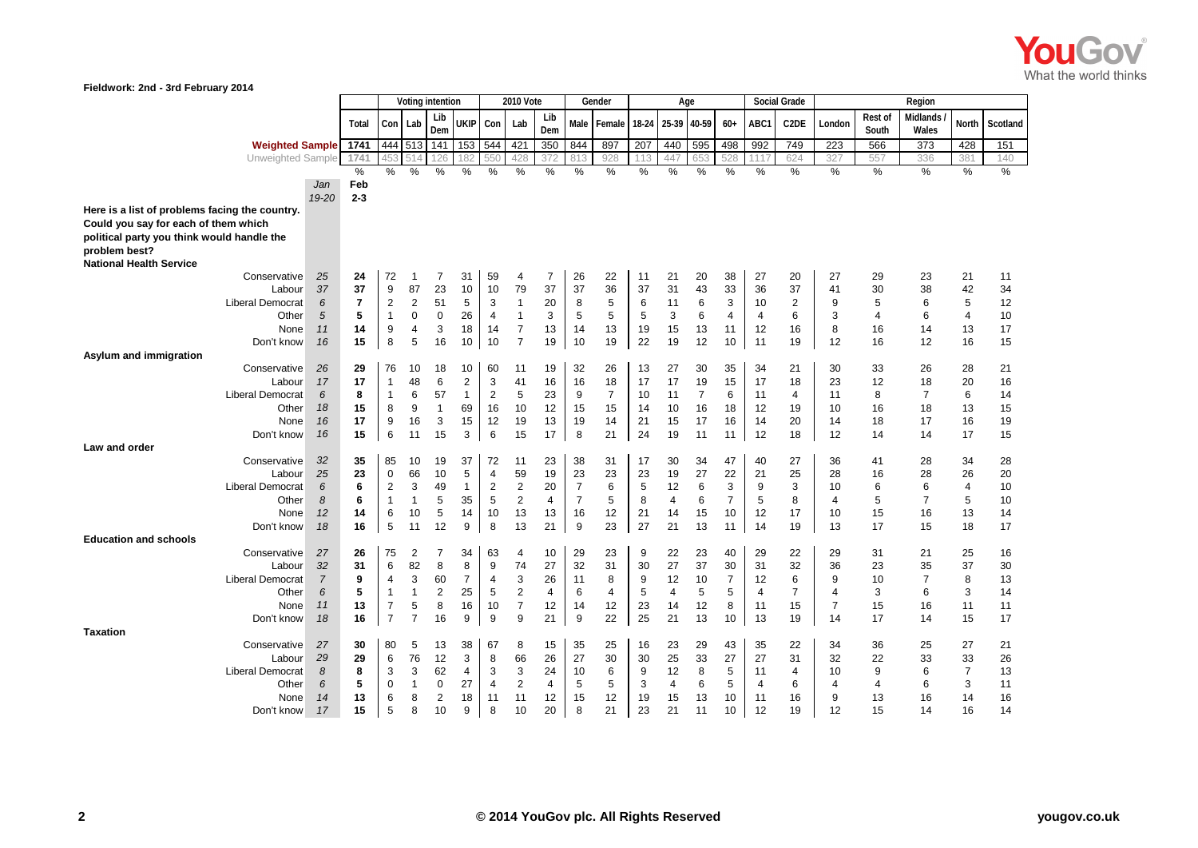

| Fieldwork: 2nd - 3rd February 2014                                                                                                                    |                |                |                   |                      |                    |                      |                      |                      |                  |                      |          |                      |                      |                |                      |                     |                |                         |                      |                      |          |
|-------------------------------------------------------------------------------------------------------------------------------------------------------|----------------|----------------|-------------------|----------------------|--------------------|----------------------|----------------------|----------------------|------------------|----------------------|----------|----------------------|----------------------|----------------|----------------------|---------------------|----------------|-------------------------|----------------------|----------------------|----------|
|                                                                                                                                                       |                |                |                   | Voting intention     |                    | <b>2010 Vote</b>     |                      |                      | Gender           |                      | Age      |                      |                      |                |                      | <b>Social Grade</b> | Region         |                         |                      |                      |          |
|                                                                                                                                                       | Total          | Con            | Lab               | Lib<br>Dem           | ukip               | Con                  | Lab                  | Lib<br>Dem           | Male             | Female               | 18-24    |                      | 25-39 40-59          | $60+$          | ABC <sub>1</sub>     | C <sub>2</sub> DE   | London         | <b>Rest of</b><br>South | Midlands<br>Wales    | North                | Scotland |
| <b>Weighted Sample</b>                                                                                                                                | 1741           | 444            | 513               | 141                  | 153                | 544                  | 421                  | 350                  | 844              | 897                  | 207      | 440                  | 595                  | 498            | 992                  | 749                 | 223            | 566                     | 373                  | 428                  | 151      |
| Unweighted Sample                                                                                                                                     | 1741           | 45.            | 51ء               | 126                  | 182                | 550                  | 428                  | 372                  | 813              | 928                  | 113      | 447                  | 653                  | 528            | 111                  | 624                 | 327            | 557                     | 336                  | 381                  | 140      |
|                                                                                                                                                       | %              | %              | $\%$              | %                    | $\%$               | %                    | %                    | %                    | %                | %                    | $\%$     | %                    | %                    | $\%$           | $\%$                 | $\%$                | $\%$           | %                       | %                    | %                    | %        |
| Jan                                                                                                                                                   | Feb            |                |                   |                      |                    |                      |                      |                      |                  |                      |          |                      |                      |                |                      |                     |                |                         |                      |                      |          |
| 19-20                                                                                                                                                 | $2 - 3$        |                |                   |                      |                    |                      |                      |                      |                  |                      |          |                      |                      |                |                      |                     |                |                         |                      |                      |          |
| Here is a list of problems facing the country.<br>Could you say for each of them which<br>political party you think would handle the<br>problem best? |                |                |                   |                      |                    |                      |                      |                      |                  |                      |          |                      |                      |                |                      |                     |                |                         |                      |                      |          |
| <b>National Health Service</b>                                                                                                                        |                |                |                   |                      |                    |                      |                      |                      |                  |                      |          |                      |                      |                |                      |                     |                |                         |                      |                      |          |
| 25<br>Conservative<br>37<br>Labour                                                                                                                    | 24<br>37       | 72<br>9        | 87                | $\overline{7}$<br>23 | 31<br>10           | 59<br>10             | $\overline{4}$<br>79 | $\overline{7}$<br>37 | 26<br>37         | 22<br>36             | 11<br>37 | 21<br>31             | 20<br>43             | 38<br>33       | 27<br>36             | 20<br>37            | 27<br>41       | 29<br>30                | 23<br>38             | 21<br>42             | 11<br>34 |
| <b>Liberal Democrat</b><br>6                                                                                                                          | $\overline{7}$ | 2              | 2                 | 51                   | 5                  | 3                    | $\overline{1}$       | 20                   | 8                | 5                    | 6        | 11                   | 6                    | 3              | 10                   | $\mathbf{2}$        | 9              | 5                       | 6                    | 5                    | 12       |
| 5<br>Other                                                                                                                                            | 5              | $\mathbf{1}$   | $\Omega$          | $\mathbf 0$          | 26                 | 4                    | $\overline{1}$       | 3                    | 5                | 5                    | 5        | 3                    | 6                    | 4              | $\overline{4}$       | 6                   | 3              | $\overline{4}$          | 6                    | 4                    | 10       |
| 11<br>None                                                                                                                                            | 14             | 9              | 4                 | 3                    | 18                 | 14                   | $\overline{7}$       | 13                   | 14               | 13                   | 19       | 15                   | 13                   | 11             | 12                   | 16                  | 8              | 16                      | 14                   | 13                   | 17       |
| 16<br>Don't know                                                                                                                                      | 15             | 8              | 5                 | 16                   | 10                 | 10                   | $\overline{7}$       | 19                   | 10               | 19                   | 22       | 19                   | 12                   | 10             | 11                   | 19                  | 12             | 16                      | 12                   | 16                   | 15       |
| Asylum and immigration                                                                                                                                |                |                |                   |                      |                    |                      |                      |                      |                  |                      |          |                      |                      |                |                      |                     |                |                         |                      |                      |          |
| Conservative<br>26                                                                                                                                    | 29             | 76             | 10                | 18                   | 10                 | 60                   | 11                   | 19                   | 32               | 26                   | 13       | 27                   | 30                   | 35             | 34                   | 21                  | 30             | 33                      | 26                   | 28                   | 21       |
| 17<br>Labour                                                                                                                                          | 17             | $\mathbf{1}$   | 48                | 6                    | 2                  | 3                    | 41                   | 16                   | 16               | 18                   | 17       | 17                   | 19                   | 15             | 17                   | 18                  | 23             | 12                      | 18                   | 20                   | 16       |
| 6<br><b>Liberal Democrat</b><br>18<br>Other                                                                                                           | 8<br>15        | 1<br>8         | 6<br>9            | 57<br>$\mathbf{1}$   | $\mathbf{1}$<br>69 | $\overline{2}$<br>16 | 5<br>10              | 23<br>12             | 9<br>15          | $\overline{7}$<br>15 | 10<br>14 | 11<br>10             | $\overline{7}$<br>16 | 6<br>18        | 11<br>12             | 4<br>19             | 11<br>10       | 8<br>16                 | $\overline{7}$<br>18 | 6<br>13              | 14<br>15 |
| None<br>16                                                                                                                                            | 17             | 9              | 16                | 3                    | 15                 | 12                   | 19                   | 13                   | 19               | 14                   | 21       | 15                   | 17                   | 16             | 14                   | 20                  | 14             | 18                      | 17                   | 16                   | 19       |
| 16<br>Don't know                                                                                                                                      | 15             | 6              | 11                | 15                   | 3                  | 6                    | 15                   | 17                   | 8                | 21                   | 24       | 19                   | 11                   | 11             | 12                   | 18                  | 12             | 14                      | 14                   | 17                   | 15       |
| Law and order                                                                                                                                         |                |                |                   |                      |                    |                      |                      |                      |                  |                      |          |                      |                      |                |                      |                     |                |                         |                      |                      |          |
| Conservative<br>32                                                                                                                                    | 35             | 85             | 10                | 19                   | 37                 | 72                   | 11                   | 23                   | 38               | 31                   | 17       | 30                   | 34                   | 47             | 40                   | 27                  | 36             | 41                      | 28                   | 34                   | 28       |
| 25<br>Labour                                                                                                                                          | 23             | $\mathbf 0$    | 66                | 10                   | 5                  | 4                    | 59                   | 19                   | 23               | 23                   | 23       | 19                   | 27                   | 22             | 21                   | 25                  | 28             | 16                      | 28                   | 26                   | 20       |
| 6<br><b>Liberal Democrat</b>                                                                                                                          | 6              | 2              | 3                 | 49                   | $\mathbf{1}$       | $\sqrt{2}$           | $\overline{2}$       | 20                   | $\overline{7}$   | 6                    | 5        | 12                   | 6                    | 3              | 9                    | 3                   | 10             | 6                       | 6                    | 4                    | 10       |
| 8<br>Other                                                                                                                                            | 6              | $\mathbf{1}$   | $\mathbf{1}$      | 5                    | 35                 | 5                    | $\overline{2}$       | $\overline{4}$       | $\overline{7}$   | 5                    | 8        | $\overline{4}$       | 6                    | $\overline{7}$ | 5                    | 8                   | 4              | 5                       | $\overline{7}$       | 5                    | 10       |
| 12<br>None                                                                                                                                            | 14             | 6              | 10                | 5                    | 14                 | 10                   | 13                   | 13                   | 16               | 12                   | 21       | 14                   | 15                   | 10             | 12                   | 17                  | 10             | 15                      | 16                   | 13                   | 14       |
| 18<br>Don't know                                                                                                                                      | 16             | 5              | 11                | 12                   | 9                  | 8                    | 13                   | 21                   | 9                | 23                   | 27       | 21                   | 13                   | 11             | 14                   | 19                  | 13             | 17                      | 15                   | 18                   | 17       |
| <b>Education and schools</b><br>27<br>Conservative                                                                                                    | 26             | 75             | $\overline{c}$    | 7                    | 34                 | 63                   | 4                    | 10                   | 29               | 23                   | 9        | 22                   | 23                   | 40             | 29                   | 22                  | 29             | 31                      | 21                   | 25                   | 16       |
| 32<br>Labour                                                                                                                                          | 31             | 6              | 82                | 8                    | 8                  | 9                    | 74                   | 27                   | 32               | 31                   | 30       | 27                   | 37                   | 30             | 31                   | 32                  | 36             | 23                      | 35                   | 37                   | 30       |
| $\overline{7}$<br><b>Liberal Democrat</b>                                                                                                             | 9              | 4              | 3                 | 60                   | $\overline{7}$     | $\overline{4}$       | 3                    | 26                   | 11               | 8                    | 9        | 12                   | 10                   | $\overline{7}$ | 12                   | 6                   | 9              | 10                      | $\overline{7}$       | 8                    | 13       |
| Other<br>6                                                                                                                                            | 5              | $\overline{1}$ | $\mathbf{1}$      | $\overline{2}$       | 25                 | 5                    | $\boldsymbol{2}$     | 4                    | 6                | $\overline{4}$       | 5        | $\overline{4}$       | 5                    | 5              | $\overline{4}$       | $\overline{7}$      | 4              | 3                       | 6                    | 3                    | 14       |
| 11<br>None                                                                                                                                            | 13             | $\overline{7}$ | 5                 | 8                    | 16                 | 10                   | $\overline{7}$       | 12                   | 14               | 12                   | 23       | 14                   | 12                   | 8              | 11                   | 15                  | $\overline{7}$ | 15                      | 16                   | 11                   | 11       |
| 18<br>Don't know                                                                                                                                      | 16             | $\overline{7}$ | $\overline{7}$    | 16                   | 9                  | 9                    | 9                    | 21                   | $\boldsymbol{9}$ | 22                   | 25       | 21                   | 13                   | 10             | 13                   | 19                  | 14             | 17                      | 14                   | 15                   | 17       |
| <b>Taxation</b>                                                                                                                                       |                |                |                   |                      |                    |                      |                      |                      |                  |                      |          |                      |                      |                |                      |                     |                |                         |                      |                      |          |
| Conservative<br>27                                                                                                                                    | 30             | 80             | 5                 | 13                   | 38                 | 67                   | 8                    | 15                   | 35               | 25                   | 16       | 23                   | 29                   | 43             | 35                   | 22                  | 34             | 36                      | 25                   | 27                   | 21       |
| 29<br>Labour<br>8                                                                                                                                     | 29             | 6              | 76                | 12                   | 3                  | 8                    | 66                   | 26                   | 27               | 30                   | 30       | 25                   | 33                   | 27             | 27                   | 31                  | 32             | 22<br>9                 | 33<br>6              | 33<br>$\overline{7}$ | 26       |
| <b>Liberal Democrat</b><br>6<br>Other                                                                                                                 | 8<br>5         | 3<br>0         | 3<br>$\mathbf{1}$ | 62<br>$\mathbf 0$    | 4<br>27            | 3<br>4               | 3<br>$\overline{2}$  | 24<br>4              | 10<br>5          | 6<br>5               | 9<br>3   | 12<br>$\overline{4}$ | 8<br>6               | 5<br>5         | 11<br>$\overline{4}$ | 4<br>6              | 10<br>4        | 4                       | 6                    | 3                    | 13<br>11 |
| None<br>14                                                                                                                                            | 13             | 6              | 8                 | 2                    | 18                 | 11                   | 11                   | 12                   | 15               | 12                   | 19       | 15                   | 13                   | 10             | 11                   | 16                  | 9              | 13                      | 16                   | 14                   | 16       |
| Don't know<br>17                                                                                                                                      | 15             | 5              | 8                 | 10                   | 9                  | 8                    | 10                   | 20                   | 8                | 21                   | 23       | 21                   | 11                   | 10             | 12                   | 19                  | 12             | 15                      | 14                   | 16                   | 14       |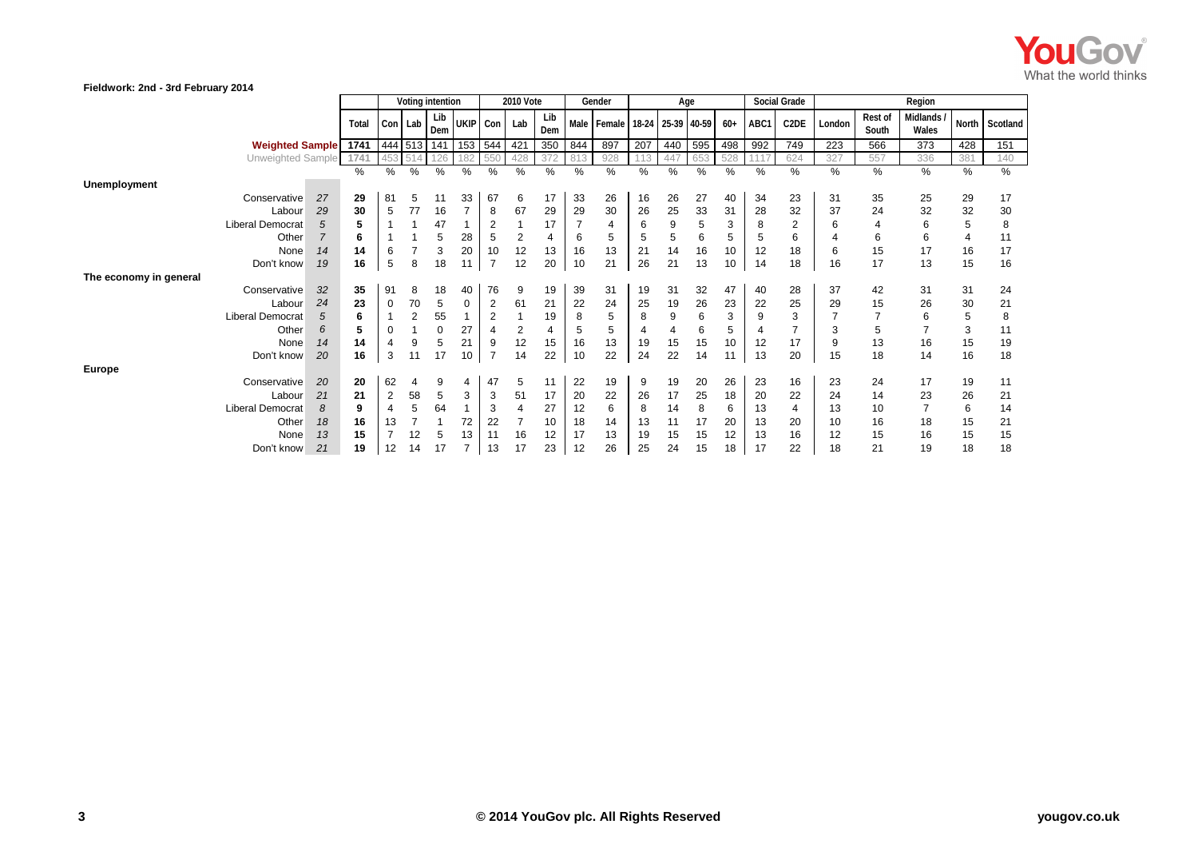

## **Fieldwork: 2nd - 3rd February 2014**

|                        |                         |    | Voting intention |                |                |             | <b>2010 Vote</b> |                |     | Gender        |      | Age                                   |     |     |               |                 | Social Grade | Region            |                 |                  |                     |               |                |
|------------------------|-------------------------|----|------------------|----------------|----------------|-------------|------------------|----------------|-----|---------------|------|---------------------------------------|-----|-----|---------------|-----------------|--------------|-------------------|-----------------|------------------|---------------------|---------------|----------------|
|                        |                         |    | Total            | Con Lab        |                | Lib<br>Dem  |                  | UKIP Con       | Lab | Lib<br>Dem    |      | Male   Female   18-24   25-39   40-59 |     |     |               | $60+$           | ABC1         | C <sub>2</sub> DE | London          | Rest of<br>South | Midlands /<br>Wales |               | North Scotland |
|                        | <b>Weighted Sample</b>  |    | 1741             |                | 444 513 141    |             |                  | 153 544        | 421 | 350           | 844  | 897                                   | 207 | 440 | 595           | 498             | 992          | 749               | 223             | 566              | 373                 | 428           | 151            |
|                        | Unweighted Sample       |    | 1741             | 453            | 51             | 126         |                  | 550            | 428 | 372           | 813  | 928                                   | 113 | 447 | 653           | 528             |              | 624               | 327             | 557              | 336                 | 381           | 140            |
|                        |                         |    | %                | %              | %              | $\%$        | %                | %              | %   | $\frac{9}{6}$ | $\%$ | $\overline{\%}$                       | %   | %   | $\frac{1}{6}$ | $\overline{\%}$ | %            | $\%$              | $\overline{\%}$ | %                | $\frac{9}{6}$       | $\frac{9}{6}$ | %              |
| <b>Unemployment</b>    |                         |    |                  |                |                |             |                  |                |     |               |      |                                       |     |     |               |                 |              |                   |                 |                  |                     |               |                |
|                        | Conservative            | 27 | 29               | 81             | 5              | 11          | 33               | 67             | 6   | 17            | 33   | 26                                    | 16  | 26  | 27            | 40              | 34           | 23                | 31              | 35               | 25                  | 29            | 17             |
|                        | Labour                  | 29 | 30               | 5              | 77             | 16          | $\overline{7}$   | 8              | 67  | 29            | 29   | 30                                    | 26  | 25  | 33            | 31              | 28           | 32                | 37              | 24               | 32                  | 32            | 30             |
|                        | <b>Liberal Democrat</b> | 5  | 5                |                |                | 47          |                  | $\overline{2}$ |     | 17            |      | $\overline{4}$                        | 6   | 9   | 5             | 3               | 8            | $\overline{2}$    | 6               |                  | 6                   | 5             | 8              |
|                        | Other                   |    | 6                |                |                | 5           | 28               | 5              | 2   | 4             | 6    | 5                                     | 5   | 5   | 6             | 5               | 5            | 6                 |                 | 6                | 6                   | 4             | 11             |
|                        | None                    | 14 | 14               | 6              |                | 3           | 20               | 10             | 12  | 13            | 16   | 13                                    | 21  | 14  | 16            | 10              | 12           | 18                | 6               | 15               | 17                  | 16            | 17             |
|                        | Don't know              | 19 | 16               | 5              | 8              | 18          | 11               | $\overline{7}$ | 12  | 20            | 10   | 21                                    | 26  | 21  | 13            | 10              | 14           | 18                | 16              | 17               | 13                  | 15            | 16             |
| The economy in general |                         |    |                  |                |                |             |                  |                |     |               |      |                                       |     |     |               |                 |              |                   |                 |                  |                     |               |                |
|                        | Conservative            | 32 | 35               | 91             | 8              | 18          | 40               | 76             | 9   | 19            | 39   | 31                                    | 19  | 31  | 32            | 47              | 40           | 28                | 37              | 42               | 31                  | 31            | 24             |
|                        | Labour                  | 24 | 23               | $\mathbf 0$    | 70             | 5           | $\Omega$         | 2              | 61  | 21            | 22   | 24                                    | 25  | 19  | 26            | 23              | 22           | 25                | 29              | 15               | 26                  | 30            | 21             |
|                        | <b>Liberal Democrat</b> | 5  | 6                |                | $\overline{2}$ | 55          |                  | 2              |     | 19            | 8    | 5                                     | 8   | 9   | 6             | 3               | 9            | 3                 |                 |                  | 6                   | 5             | 8              |
|                        | Other                   | 6  | 5                |                |                | $\mathbf 0$ | 27               |                | 2   |               | 5    | 5                                     |     | 4   | 6             | 5               |              | 7                 |                 | 5                |                     | 3             | 11             |
|                        | None                    | 14 | 14               | 4              | 9              | 5           | 21               | 9              | 12  | 15            | 16   | 13                                    | 19  | 15  | 15            | 10              | 12           | 17                | 9               | 13               | 16                  | 15            | 19             |
|                        | Don't know              | 20 | 16               | 3              | 11             | 17          | 10               | $\overline{7}$ | 14  | 22            | 10   | 22                                    | 24  | 22  | 14            | 11              | 13           | 20                | 15              | 18               | 14                  | 16            | 18             |
| <b>Europe</b>          |                         |    |                  |                |                |             |                  |                |     |               |      |                                       |     |     |               |                 |              |                   |                 |                  |                     |               |                |
|                        | Conservative            | 20 | 20               | 62             |                | 9           | 4                | 47             | 5   | 11            | 22   | 19                                    | 9   | 19  | 20            | 26              | 23           | 16                | 23              | 24               | 17                  | 19            | 11             |
|                        | Labour                  | 21 | 21               | $\overline{2}$ | 58             | 5           | 3                | 3              | 51  | 17            | 20   | 22                                    | 26  | 17  | 25            | 18              | 20           | 22                | 24              | 14               | 23                  | 26            | 21             |
|                        | <b>Liberal Democrat</b> | 8  | 9                |                | 5              | 64          |                  | 3              | 4   | 27            | 12   | 6                                     | 8   | 14  | 8             | 6               | 13           | $\overline{4}$    | 13              | 10               |                     | 6             | 14             |
|                        | Other                   | 18 | 16               | 13             |                |             | 72               | 22             | 7   | 10            | 18   | 14                                    | 13  | 11  | 17            | 20              | 13           | 20                | 10              | 16               | 18                  | 15            | 21             |
|                        | None                    | 13 | 15               |                | 12             | 5           | 13               | 11             | 16  | 12            | 17   | 13                                    | 19  | 15  | 15            | 12              | 13           | 16                | 12              | 15               | 16                  | 15            | 15             |
|                        | Don't know              | 21 | 19               | 12             | 14             | 17          | $\overline{ }$   | 13             | 17  | 23            | 12   | 26                                    | 25  | 24  | 15            | 18              | 17           | 22                | 18              | 21               | 19                  | 18            | 18             |